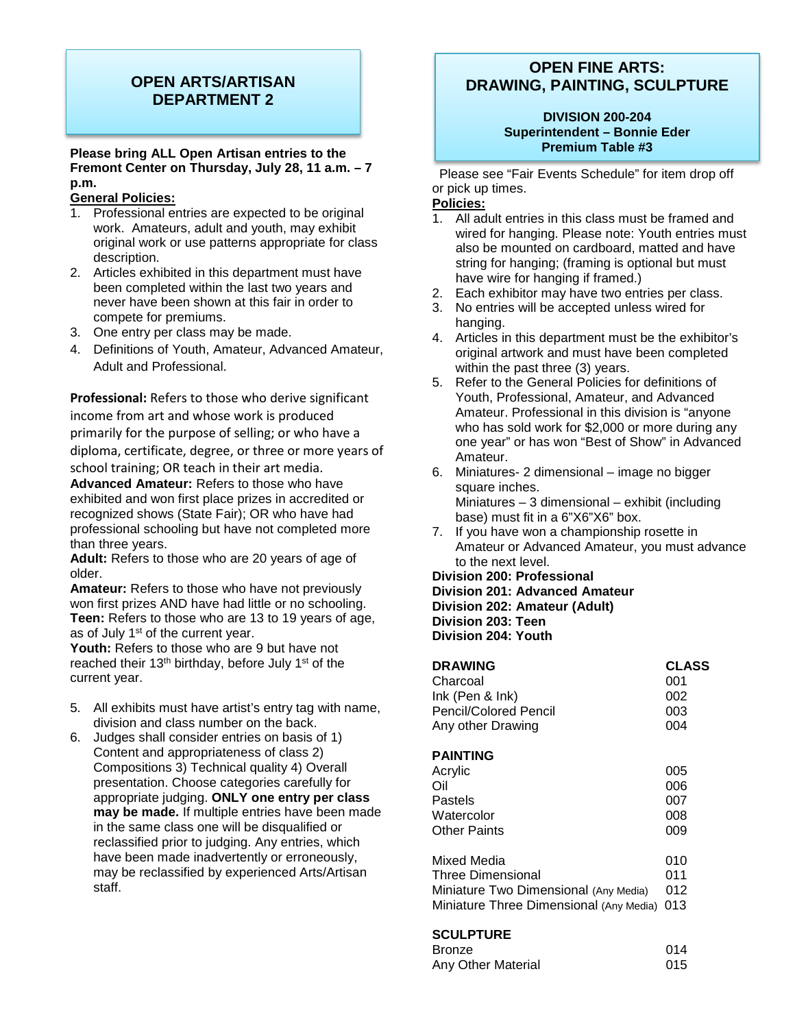# **OPEN ARTS/ARTISAN DEPARTMENT 2**

### **Please bring ALL Open Artisan entries to the Fremont Center on Thursday, July 28, 11 a.m. – 7 p.m.**

### **General Policies:**

- 1. Professional entries are expected to be original work. Amateurs, adult and youth, may exhibit original work or use patterns appropriate for class description.
- 2. Articles exhibited in this department must have been completed within the last two years and never have been shown at this fair in order to compete for premiums.
- 3. One entry per class may be made.
- 4. Definitions of Youth, Amateur, Advanced Amateur, Adult and Professional.

**Professional:** Refers to those who derive significant income from art and whose work is produced primarily for the purpose of selling; or who have a diploma, certificate, degree, or three or more years of school training; OR teach in their art media.

**Advanced Amateur:** Refers to those who have exhibited and won first place prizes in accredited or recognized shows (State Fair); OR who have had professional schooling but have not completed more than three years.

**Adult:** Refers to those who are 20 years of age of older.

**Amateur:** Refers to those who have not previously won first prizes AND have had little or no schooling. **Teen:** Refers to those who are 13 to 19 years of age, as of July 1<sup>st</sup> of the current year.

**Youth:** Refers to those who are 9 but have not reached their 13<sup>th</sup> birthday, before July 1<sup>st</sup> of the current year.

- 5. All exhibits must have artist's entry tag with name, division and class number on the back.
- 6. Judges shall consider entries on basis of 1) Content and appropriateness of class 2) Compositions 3) Technical quality 4) Overall presentation. Choose categories carefully for appropriate judging. **ONLY one entry per class may be made.** If multiple entries have been made in the same class one will be disqualified or reclassified prior to judging. Any entries, which have been made inadvertently or erroneously, may be reclassified by experienced Arts/Artisan staff.

# **OPEN FINE ARTS: DRAWING, PAINTING, SCULPTURE**

### **DIVISION 200-204 Superintendent – Bonnie Eder Premium Table #3**

Please see "Fair Events Schedule" for item drop off or pick up times.

### **Policies:**

- 1. All adult entries in this class must be framed and wired for hanging. Please note: Youth entries must also be mounted on cardboard, matted and have string for hanging; (framing is optional but must have wire for hanging if framed.)
- 2. Each exhibitor may have two entries per class.
- 3. No entries will be accepted unless wired for hanging.
- 4. Articles in this department must be the exhibitor's original artwork and must have been completed within the past three (3) years.
- 5. Refer to the General Policies for definitions of Youth, Professional, Amateur, and Advanced Amateur. Professional in this division is "anyone who has sold work for \$2,000 or more during any one year" or has won "Best of Show" in Advanced Amateur.
- 6. Miniatures- 2 dimensional image no bigger square inches. Miniatures – 3 dimensional – exhibit (including base) must fit in a 6"X6"X6" box.
- 7. If you have won a championship rosette in Amateur or Advanced Amateur, you must advance to the next level.

**Division 200: Professional**

**Division 201: Advanced Amateur Division 202: Amateur (Adult)**

**Division 203: Teen**

**Division 204: Youth**

| <b>DRAWING</b>               | <b>CLASS</b> |
|------------------------------|--------------|
| Charcoal                     | 001          |
| $lnk$ (Pen & $lnk$ )         | 002          |
| <b>Pencil/Colored Pencil</b> | 003          |
| Any other Drawing            | 004          |
|                              |              |

### **PAINTING**

| Acrylic                                 | 005 |
|-----------------------------------------|-----|
| Oil                                     | 006 |
| Pastels                                 | 007 |
| Watercolor                              | 008 |
| <b>Other Paints</b>                     | 009 |
| Mixed Media                             | 010 |
| <b>Three Dimensional</b>                | 011 |
| Miniature Two Dimensional (Any Media)   | 012 |
| Miniature Three Dimensional (Any Media) | 013 |

### **SCULPTURE**

| ---------          |     |
|--------------------|-----|
| <b>Bronze</b>      | 014 |
| Any Other Material | 015 |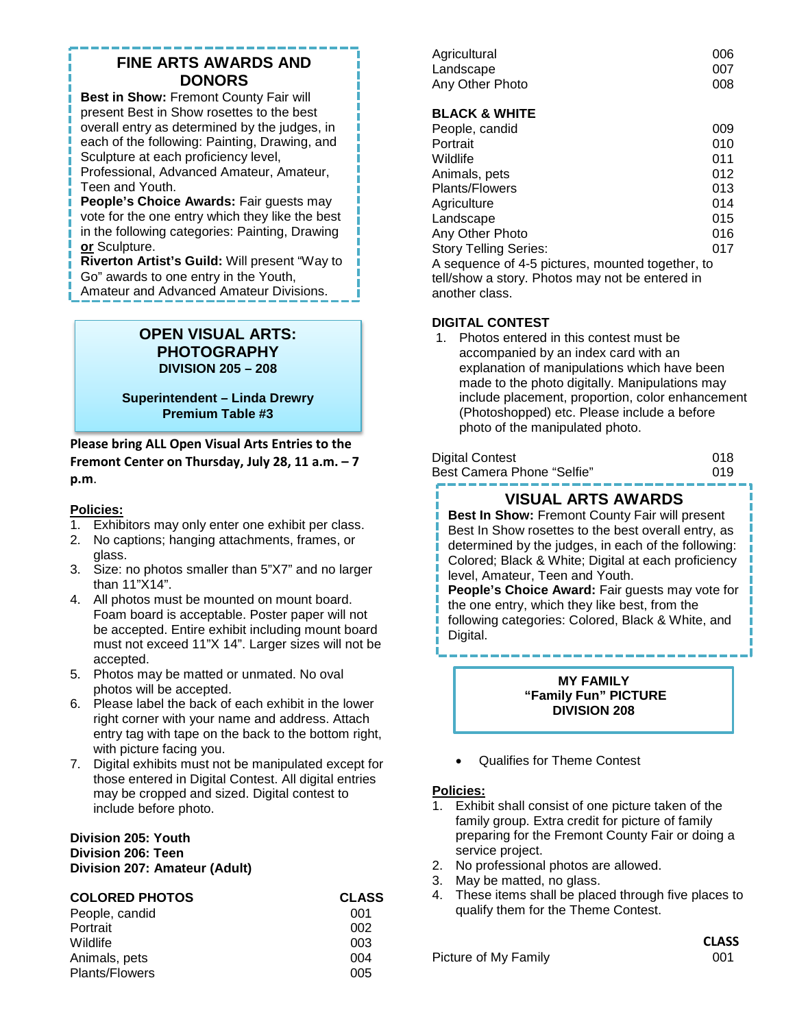# **FINE ARTS AWARDS AND DONORS**

**Best in Show: Fremont County Fair will** present Best in Show rosettes to the best overall entry as determined by the judges, in each of the following: Painting, Drawing, and Sculpture at each proficiency level, Professional, Advanced Amateur, Amateur,

Teen and Youth.

**People's Choice Awards: Fair guests may** vote for the one entry which they like the best in the following categories: Painting, Drawing **or** Sculpture.

**Riverton Artist's Guild:** Will present "Way to Go" awards to one entry in the Youth,

Amateur and Advanced Amateur Divisions.

# **OPEN VISUAL ARTS: PHOTOGRAPHY DIVISION 205 – 208**

**Superintendent – Linda Drewry Premium Table #3**

**Please bring ALL Open Visual Arts Entries to the Fremont Center on Thursday, July 28, 11 a.m. – 7 p.m**.

# **Policies:**

- 1. Exhibitors may only enter one exhibit per class.
- 2. No captions; hanging attachments, frames, or glass.
- 3. Size: no photos smaller than 5"X7" and no larger than 11"X14".
- 4. All photos must be mounted on mount board. Foam board is acceptable. Poster paper will not be accepted. Entire exhibit including mount board must not exceed 11"X 14". Larger sizes will not be accepted.
- 5. Photos may be matted or unmated. No oval photos will be accepted.
- 6. Please label the back of each exhibit in the lower right corner with your name and address. Attach entry tag with tape on the back to the bottom right, with picture facing you.
- 7. Digital exhibits must not be manipulated except for those entered in Digital Contest. All digital entries may be cropped and sized. Digital contest to include before photo.

### **Division 205: Youth Division 206: Teen Division 207: Amateur (Adult)**

| <b>COLORED PHOTOS</b> | <b>CLASS</b> |
|-----------------------|--------------|
| People, candid        | 001          |
| Portrait              | 002          |
| Wildlife              | 003          |
| Animals, pets         | 004          |
| <b>Plants/Flowers</b> | 005          |

| Agricultural    | 006 |
|-----------------|-----|
| Landscape       | 007 |
| Any Other Photo | 008 |

# **BLACK & WHITE**

| People, candid                                   | 009 |
|--------------------------------------------------|-----|
| Portrait                                         | 010 |
| Wildlife                                         | 011 |
| Animals, pets                                    | 012 |
| <b>Plants/Flowers</b>                            | 013 |
| Agriculture                                      | 014 |
| Landscape                                        | 015 |
| Any Other Photo                                  | 016 |
| <b>Story Telling Series:</b>                     | 017 |
| A sequence of 4-5 pictures, mounted together, to |     |
|                                                  |     |

tell/show a story. Photos may not be entered in another class.

### **DIGITAL CONTEST**

1. Photos entered in this contest must be accompanied by an index card with an explanation of manipulations which have been made to the photo digitally. Manipulations may include placement, proportion, color enhancement (Photoshopped) etc. Please include a before photo of the manipulated photo.

| Digital Contest            | 018 |
|----------------------------|-----|
| Best Camera Phone "Selfie" | 019 |

# **VISUAL ARTS AWARDS**

**Best In Show:** Fremont County Fair will present Best In Show rosettes to the best overall entry, as determined by the judges, in each of the following: Colored; Black & White; Digital at each proficiency level, Amateur, Teen and Youth. **People's Choice Award:** Fair guests may vote for the one entry, which they like best, from the following categories: Colored, Black & White, and

Digital.

**MY FAMILY "Family Fun" PICTURE DIVISION 208**

• Qualifies for Theme Contest

### **Policies:**

- 1. Exhibit shall consist of one picture taken of the family group. Extra credit for picture of family preparing for the Fremont County Fair or doing a service project.
- 2. No professional photos are allowed.
- 3. May be matted, no glass.
- 4. These items shall be placed through five places to qualify them for the Theme Contest.

Picture of My Family 001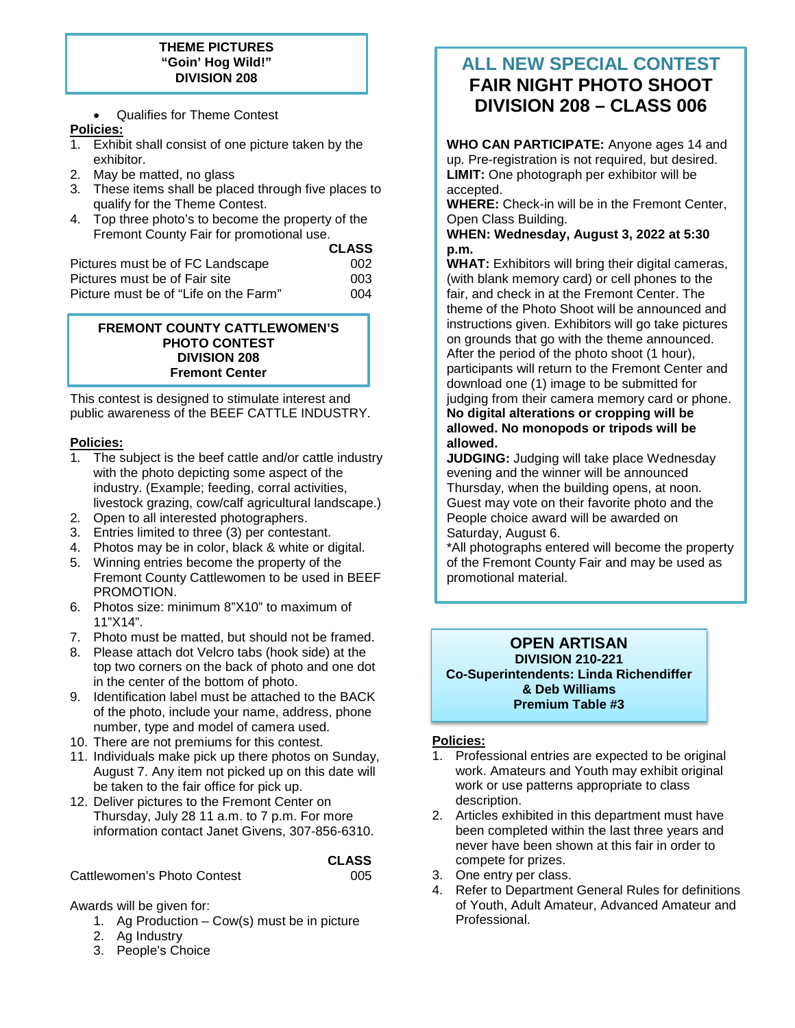### **THEME PICTURES "Goin' Hog Wild!" DIVISION 208**

• Qualifies for Theme Contest

### **Policies:**

- 1. Exhibit shall consist of one picture taken by the exhibitor.
- 2. May be matted, no glass
- 3. These items shall be placed through five places to qualify for the Theme Contest.
- 4. Top three photo's to become the property of the Fremont County Fair for promotional use.

|                                       | <b>CLASS</b> |
|---------------------------------------|--------------|
| Pictures must be of FC Landscape      | 002          |
| Pictures must be of Fair site         | 003          |
| Picture must be of "Life on the Farm" | 004          |
|                                       |              |

### **FREMONT COUNTY CATTLEWOMEN'S PHOTO CONTEST DIVISION 208 Fremont Center**

This contest is designed to stimulate interest and public awareness of the BEEF CATTLE INDUSTRY.

# **Policies:**

- 1. The subject is the beef cattle and/or cattle industry with the photo depicting some aspect of the industry. (Example; feeding, corral activities, livestock grazing, cow/calf agricultural landscape.)
- 2. Open to all interested photographers.
- 3. Entries limited to three (3) per contestant.
- 4. Photos may be in color, black & white or digital.
- 5. Winning entries become the property of the Fremont County Cattlewomen to be used in BEEF PROMOTION.
- 6. Photos size: minimum 8"X10" to maximum of 11"X14".
- 7. Photo must be matted, but should not be framed.
- 8. Please attach dot Velcro tabs (hook side) at the top two corners on the back of photo and one dot in the center of the bottom of photo.
- 9. Identification label must be attached to the BACK of the photo, include your name, address, phone number, type and model of camera used.
- 10. There are not premiums for this contest.
- 11. Individuals make pick up there photos on Sunday, August 7. Any item not picked up on this date will be taken to the fair office for pick up.
- 12. Deliver pictures to the Fremont Center on Thursday, July 28 11 a.m. to 7 p.m. For more information contact Janet Givens, 307-856-6310.

# **CLASS**

Cattlewomen's Photo Contest **Cattlewomen's** Photo Contest

### Awards will be given for:

- 1. Ag Production Cow(s) must be in picture
- 2. Ag Industry
- 3. People's Choice

# **ALL NEW SPECIAL CONTEST FAIR NIGHT PHOTO SHOOT DIVISION 208 – CLASS 006**

I

**WHO CAN PARTICIPATE:** Anyone ages 14 and up. Pre-registration is not required, but desired. **LIMIT:** One photograph per exhibitor will be accepted.

**WHERE:** Check-in will be in the Fremont Center, Open Class Building.

**WHEN: Wednesday, August 3, 2022 at 5:30 p.m.**

**WHAT:** Exhibitors will bring their digital cameras, (with blank memory card) or cell phones to the fair, and check in at the Fremont Center. The theme of the Photo Shoot will be announced and instructions given. Exhibitors will go take pictures on grounds that go with the theme announced. After the period of the photo shoot (1 hour), participants will return to the Fremont Center and download one (1) image to be submitted for judging from their camera memory card or phone. **No digital alterations or cropping will be allowed. No monopods or tripods will be allowed.** 

**JUDGING:** Judging will take place Wednesday evening and the winner will be announced Thursday, when the building opens, at noon. Guest may vote on their favorite photo and the People choice award will be awarded on Saturday, August 6.

\*All photographs entered will become the property of the Fremont County Fair and may be used as promotional material.

#### **OPEN ARTISAN DIVISION 210-221 Co-Superintendents: Linda Richendiffer & Deb Williams Premium Table #3**

# **Policies:**

- 1. Professional entries are expected to be original work. Amateurs and Youth may exhibit original work or use patterns appropriate to class description.
- 2. Articles exhibited in this department must have been completed within the last three years and never have been shown at this fair in order to compete for prizes.
- 3. One entry per class.
- 4. Refer to Department General Rules for definitions of Youth, Adult Amateur, Advanced Amateur and Professional.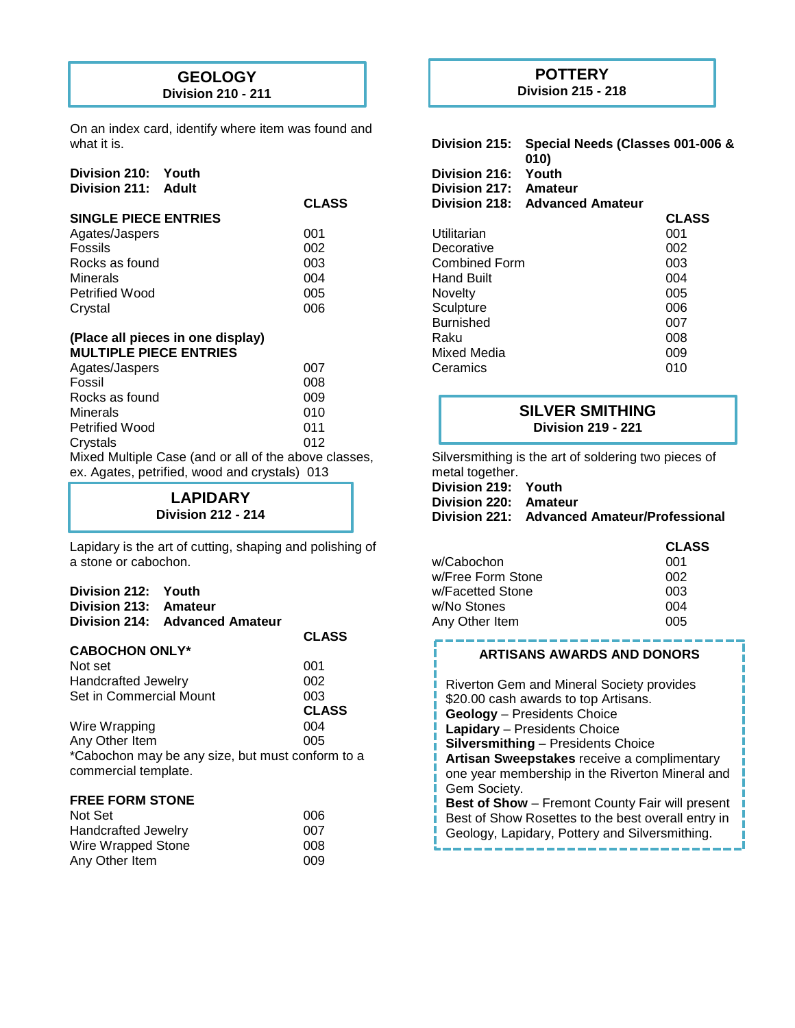# **GEOLOGY**

**Division 210 - 211**

On an index card, identify where item was found and what it is.

**CLASS**

| Division 210:       | Youth |
|---------------------|-------|
| Division 211: Adult |       |

#### **SINGLE PIECE ENTRIES**

| Agates/Jaspers        | 001 |
|-----------------------|-----|
| <b>Fossils</b>        | 002 |
| Rocks as found        | 003 |
| <b>Minerals</b>       | 004 |
| <b>Petrified Wood</b> | 005 |
| Crystal               | 006 |

#### **(Place all pieces in one display) MULTIPLE PIECE ENTRIES**

| Agates/Jaspers                                        | 007 |
|-------------------------------------------------------|-----|
| Fossil                                                | 008 |
| Rocks as found                                        | 009 |
| <b>Minerals</b>                                       | 010 |
| <b>Petrified Wood</b>                                 | 011 |
| Crystals                                              | 012 |
| Mixed Multiple Case (and or all of the above classes, |     |
|                                                       |     |

ex. Agates, petrified, wood and crystals) 013

| <b>LAPIDARY</b>           |  |
|---------------------------|--|
| <b>Division 212 - 214</b> |  |

Lapidary is the art of cutting, shaping and polishing of a stone or cabochon.

| Division 212: Youth<br>Division 213: Amateur | Division 214: Advanced Amateur |                                                  |
|----------------------------------------------|--------------------------------|--------------------------------------------------|
|                                              |                                | <b>CLASS</b>                                     |
| <b>CABOCHON ONLY*</b>                        |                                |                                                  |
| Not set                                      |                                | 001                                              |
| Handcrafted Jewelry                          |                                | 002                                              |
| Set in Commercial Mount                      |                                | 003                                              |
|                                              |                                | <b>CLASS</b>                                     |
| Wire Wrapping                                |                                | 004                                              |
| Any Other Item                               |                                | 005                                              |
| commercial template.                         |                                | *Cabochon may be any size, but must conform to a |
| <b>FREE FORM STONE</b>                       |                                |                                                  |
| Not Set                                      |                                | 006                                              |
| Handeratted Jowelry                          |                                | <b>007</b>                                       |

| <b>Handcrafted Jewelry</b> | 007 |
|----------------------------|-----|
| Wire Wrapped Stone         | 008 |
| Any Other Item             | 009 |

# **POTTERY**

**Division 215 - 218**

| Division 215:<br>Division 216:<br>Division 217:<br>Division 218: | Special Needs (Classes 001-006 &<br>010)<br>Youth<br>Amateur<br><b>Advanced Amateur</b> |              |
|------------------------------------------------------------------|-----------------------------------------------------------------------------------------|--------------|
|                                                                  |                                                                                         | <b>CLASS</b> |
| Utilitarian                                                      |                                                                                         | 001          |
| Decorative                                                       |                                                                                         | 002          |
| <b>Combined Form</b>                                             |                                                                                         | 003          |
| Hand Built                                                       |                                                                                         | 004          |
| Novelty                                                          |                                                                                         | 005          |
| Sculpture                                                        |                                                                                         | 006          |
| <b>Burnished</b>                                                 |                                                                                         | 007          |
| Raku                                                             |                                                                                         | 008          |
| Mixed Media                                                      |                                                                                         | 009          |
| Ceramics                                                         |                                                                                         | 010          |

# **SILVER SMITHING Division 219 - 221**

Silversmithing is the art of soldering two pieces of metal together.

**Division 219: Youth Division 220: Amateur Division 221: Advanced Amateur/Professional**

|                   | <b>CLASS</b> |
|-------------------|--------------|
| w/Cabochon.       | 001          |
| w/Free Form Stone | 002          |
| w/Facetted Stone  | 003          |
| w/No Stones       | 004          |
| Any Other Item    | 005          |

### **ARTISANS AWARDS AND DONORS**

Riverton Gem and Mineral Society provides \$20.00 cash awards to top Artisans. **Geology** – Presidents Choice **Lapidary** – Presidents Choice **Silversmithing** – Presidents Choice **Artisan Sweepstakes** receive a complimentary one year membership in the Riverton Mineral and Gem Society. **Best of Show** – Fremont County Fair will present Best of Show Rosettes to the best overall entry in

Geology, Lapidary, Pottery and Silversmithing.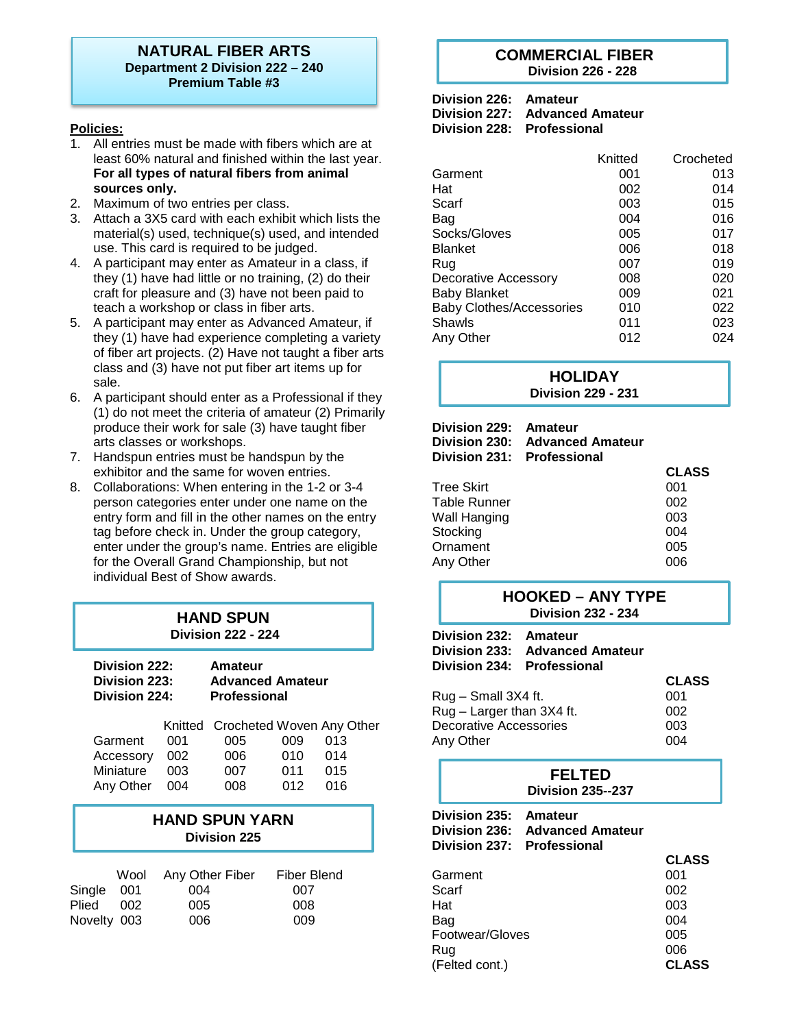### **NATURAL FIBER ARTS Department 2 Division 222 – 240 Premium Table #3**

### **Policies:**

- 1. All entries must be made with fibers which are at least 60% natural and finished within the last year. **For all types of natural fibers from animal sources only.**
- 2. Maximum of two entries per class.
- 3. Attach a 3X5 card with each exhibit which lists the material(s) used, technique(s) used, and intended use. This card is required to be judged.
- 4. A participant may enter as Amateur in a class, if they (1) have had little or no training, (2) do their craft for pleasure and (3) have not been paid to teach a workshop or class in fiber arts.
- 5. A participant may enter as Advanced Amateur, if they (1) have had experience completing a variety of fiber art projects. (2) Have not taught a fiber arts class and (3) have not put fiber art items up for sale.
- 6. A participant should enter as a Professional if they (1) do not meet the criteria of amateur (2) Primarily produce their work for sale (3) have taught fiber arts classes or workshops.
- 7. Handspun entries must be handspun by the exhibitor and the same for woven entries.
- 8. Collaborations: When entering in the 1-2 or 3-4 person categories enter under one name on the entry form and fill in the other names on the entry tag before check in. Under the group category, enter under the group's name. Entries are eligible for the Overall Grand Championship, but not individual Best of Show awards.

# **HAND SPUN**

**Division 222 - 224**

| Division 222: | Amateur                 |
|---------------|-------------------------|
| Division 223: | <b>Advanced Amateur</b> |
| Division 224: | <b>Professional</b>     |
|               |                         |

|               |     | Knitted Crocheted Woven Any Other |     |     |  |
|---------------|-----|-----------------------------------|-----|-----|--|
| Garment       | 001 | 005                               | 009 | 013 |  |
| Accessory 002 |     | 006                               | 010 | 014 |  |
| Miniature     | 003 | 007                               | 011 | 015 |  |
| Any Other 004 |     | 008                               | 012 | 016 |  |
|               |     |                                   |     |     |  |

# **HAND SPUN YARN Division 225**

|             |     | Wool Any Other Fiber | <b>Fiber Blend</b> |
|-------------|-----|----------------------|--------------------|
| Single 001  |     | 004                  | 007                |
| Plied       | 002 | 005                  | 008                |
| Novelty 003 |     | 006                  | 009                |

### **COMMERCIAL FIBER Division 226 - 228**

| Division 226: Amateur |                                |
|-----------------------|--------------------------------|
|                       | Division 227: Advanced Amateur |
|                       | Division 228: Professional     |

|                                 | Knitted | Crocheted |
|---------------------------------|---------|-----------|
| Garment                         | 001     | 013       |
| Hat                             | 002     | 014       |
| Scarf                           | 003     | 015       |
| Bag                             | 004     | 016       |
| Socks/Gloves                    | 005     | 017       |
| <b>Blanket</b>                  | 006     | 018       |
| Rug                             | 007     | 019       |
| Decorative Accessory            | 008     | 020       |
| <b>Baby Blanket</b>             | 009     | 021       |
| <b>Baby Clothes/Accessories</b> | 010     | 022       |
| Shawls                          | 011     | 023       |
| Any Other                       | 012     | 024       |

# **HOLIDAY Division 229 - 231**

| Division 229:<br>Division 230:<br>Division 231: Professional | Amateur<br><b>Advanced Amateur</b> |              |
|--------------------------------------------------------------|------------------------------------|--------------|
|                                                              |                                    | <b>CLASS</b> |
| <b>Tree Skirt</b>                                            |                                    | 001          |
| <b>Table Runner</b>                                          |                                    | 002          |
| Wall Hanging                                                 |                                    | 003          |
| Stocking                                                     |                                    | 004          |
| Ornament                                                     |                                    | 005          |
| Any Other                                                    |                                    | ററഞ          |

# **HOOKED – ANY TYPE Division 232 - 234**

| Division 232: Amateur<br>Division 234: Professional | Division 233: Advanced Amateur |              |
|-----------------------------------------------------|--------------------------------|--------------|
|                                                     |                                | <b>CLASS</b> |
| Rug - Small 3X4 ft.                                 |                                | 001          |
| Rug - Larger than 3X4 ft.                           |                                | 002          |
| Decorative Accessories                              |                                | 003          |
| Any Other                                           |                                | 004          |
|                                                     |                                |              |

|       |                                       | <b>FELTED</b><br><b>Division 235--237</b>                        |              |
|-------|---------------------------------------|------------------------------------------------------------------|--------------|
|       | <b>Division 235:</b><br>Division 236: | Amateur<br><b>Advanced Amateur</b><br>Division 237: Professional |              |
|       |                                       |                                                                  | <b>CLASS</b> |
|       | Garment                               |                                                                  | 001          |
| Scarf |                                       |                                                                  | 002          |
| Hat   |                                       |                                                                  | 003          |
| Bag   |                                       |                                                                  | 004          |
|       | Footwear/Gloves                       |                                                                  | 005          |
| Rug   |                                       |                                                                  | 006          |
|       | (Felted cont.)                        |                                                                  | <b>CLASS</b> |